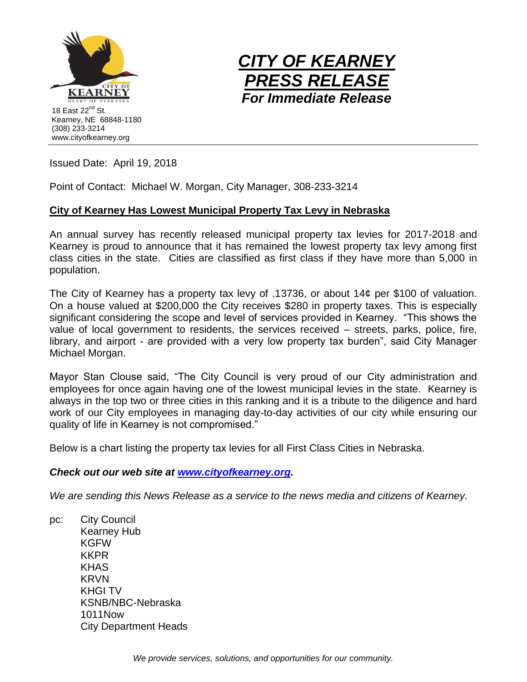



Issued Date: April 19, 2018

Point of Contact: Michael W. Morgan, City Manager, 308-233-3214

## **City of Kearney Has Lowest Municipal Property Tax Levy in Nebraska**

An annual survey has recently released municipal property tax levies for 2017-2018 and Kearney is proud to announce that it has remained the lowest property tax levy among first class cities in the state. Cities are classified as first class if they have more than 5,000 in population.

The City of Kearney has a property tax levy of .13736, or about 14¢ per \$100 of valuation. On a house valued at \$200,000 the City receives \$280 in property taxes. This is especially significant considering the scope and level of services provided in Kearney. "This shows the value of local government to residents, the services received – streets, parks, police, fire, library, and airport - are provided with a very low property tax burden", said City Manager Michael Morgan.

Mayor Stan Clouse said, "The City Council is very proud of our City administration and employees for once again having one of the lowest municipal levies in the state. Kearney is always in the top two or three cities in this ranking and it is a tribute to the diligence and hard work of our City employees in managing day-to-day activities of our city while ensuring our quality of life in Kearney is not compromised."

Below is a chart listing the property tax levies for all First Class Cities in Nebraska.

## *Check out our web site at [www.cityofkearney.org.](http://www.cityofkearney.org/)*

*We are sending this News Release as a service to the news media and citizens of Kearney.*

pc: City Council Kearney Hub KGFW KKPR KHAS KRVN KHGI TV KSNB/NBC-Nebraska 1011Now City Department Heads